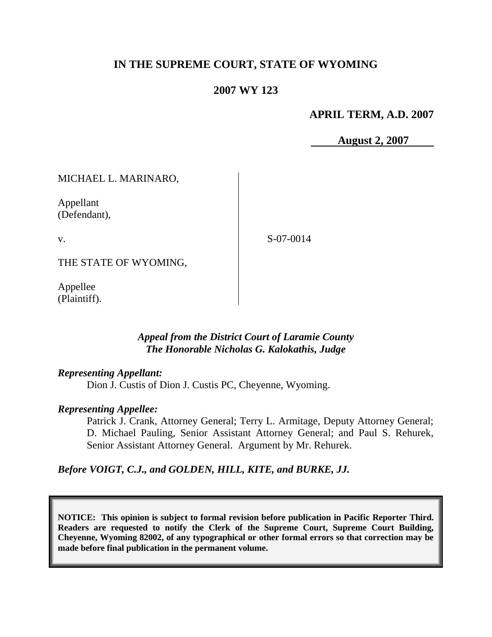# **IN THE SUPREME COURT, STATE OF WYOMING**

## **2007 WY 123**

**APRIL TERM, A.D. 2007**

 **August 2, 2007**

MICHAEL L. MARINARO,

Appellant (Defendant),

v.

S-07-0014

THE STATE OF WYOMING,

Appellee (Plaintiff).

### *Appeal from the District Court of Laramie County The Honorable Nicholas G. Kalokathis, Judge*

### *Representing Appellant:*

Dion J. Custis of Dion J. Custis PC, Cheyenne, Wyoming.

### *Representing Appellee:*

Patrick J. Crank, Attorney General; Terry L. Armitage, Deputy Attorney General; D. Michael Pauling, Senior Assistant Attorney General; and Paul S. Rehurek, Senior Assistant Attorney General. Argument by Mr. Rehurek.

*Before VOIGT, C.J., and GOLDEN, HILL, KITE, and BURKE, JJ.*

**NOTICE: This opinion is subject to formal revision before publication in Pacific Reporter Third. Readers are requested to notify the Clerk of the Supreme Court, Supreme Court Building, Cheyenne, Wyoming 82002, of any typographical or other formal errors so that correction may be made before final publication in the permanent volume.**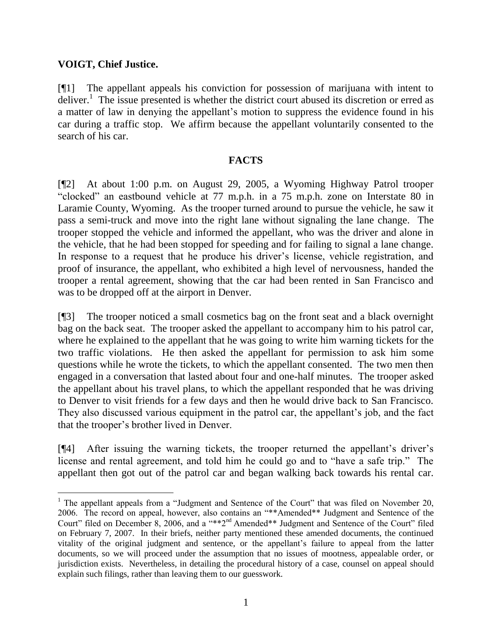## **VOIGT, Chief Justice.**

 $\overline{a}$ 

[¶1] The appellant appeals his conviction for possession of marijuana with intent to deliver.<sup>1</sup> The issue presented is whether the district court abused its discretion or erred as a matter of law in denying the appellant's motion to suppress the evidence found in his car during a traffic stop. We affirm because the appellant voluntarily consented to the search of his car.

## **FACTS**

[¶2] At about 1:00 p.m. on August 29, 2005, a Wyoming Highway Patrol trooper "clocked" an eastbound vehicle at 77 m.p.h. in a 75 m.p.h. zone on Interstate 80 in Laramie County, Wyoming. As the trooper turned around to pursue the vehicle, he saw it pass a semi-truck and move into the right lane without signaling the lane change. The trooper stopped the vehicle and informed the appellant, who was the driver and alone in the vehicle, that he had been stopped for speeding and for failing to signal a lane change. In response to a request that he produce his driver's license, vehicle registration, and proof of insurance, the appellant, who exhibited a high level of nervousness, handed the trooper a rental agreement, showing that the car had been rented in San Francisco and was to be dropped off at the airport in Denver.

[¶3] The trooper noticed a small cosmetics bag on the front seat and a black overnight bag on the back seat. The trooper asked the appellant to accompany him to his patrol car, where he explained to the appellant that he was going to write him warning tickets for the two traffic violations. He then asked the appellant for permission to ask him some questions while he wrote the tickets, to which the appellant consented. The two men then engaged in a conversation that lasted about four and one-half minutes. The trooper asked the appellant about his travel plans, to which the appellant responded that he was driving to Denver to visit friends for a few days and then he would drive back to San Francisco. They also discussed various equipment in the patrol car, the appellant's job, and the fact that the trooper's brother lived in Denver.

[¶4] After issuing the warning tickets, the trooper returned the appellant's driver's license and rental agreement, and told him he could go and to "have a safe trip." The appellant then got out of the patrol car and began walking back towards his rental car.

<sup>&</sup>lt;sup>1</sup> The appellant appeals from a "Judgment and Sentence of the Court" that was filed on November 20, 2006. The record on appeal, however, also contains an "\*\*Amended\*\* Judgment and Sentence of the Court" filed on December 8, 2006, and a "\*\*2nd Amended\*\* Judgment and Sentence of the Court" filed on February 7, 2007. In their briefs, neither party mentioned these amended documents, the continued vitality of the original judgment and sentence, or the appellant's failure to appeal from the latter documents, so we will proceed under the assumption that no issues of mootness, appealable order, or jurisdiction exists. Nevertheless, in detailing the procedural history of a case, counsel on appeal should explain such filings, rather than leaving them to our guesswork.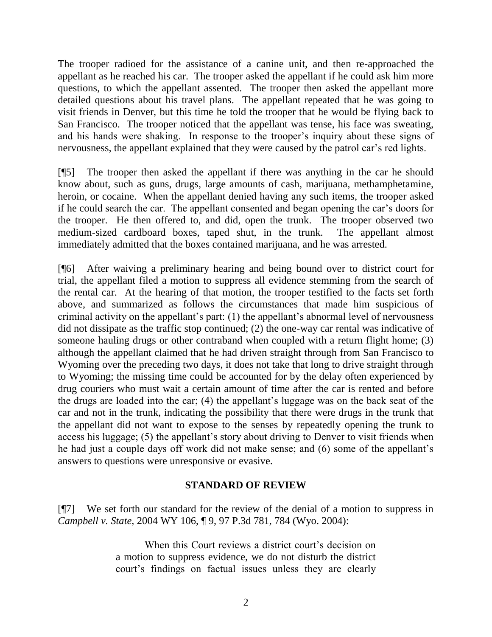The trooper radioed for the assistance of a canine unit, and then re-approached the appellant as he reached his car. The trooper asked the appellant if he could ask him more questions, to which the appellant assented. The trooper then asked the appellant more detailed questions about his travel plans. The appellant repeated that he was going to visit friends in Denver, but this time he told the trooper that he would be flying back to San Francisco. The trooper noticed that the appellant was tense, his face was sweating, and his hands were shaking. In response to the trooper's inquiry about these signs of nervousness, the appellant explained that they were caused by the patrol car's red lights.

[¶5] The trooper then asked the appellant if there was anything in the car he should know about, such as guns, drugs, large amounts of cash, marijuana, methamphetamine, heroin, or cocaine. When the appellant denied having any such items, the trooper asked if he could search the car. The appellant consented and began opening the car's doors for the trooper. He then offered to, and did, open the trunk. The trooper observed two medium-sized cardboard boxes, taped shut, in the trunk. The appellant almost immediately admitted that the boxes contained marijuana, and he was arrested.

[¶6] After waiving a preliminary hearing and being bound over to district court for trial, the appellant filed a motion to suppress all evidence stemming from the search of the rental car. At the hearing of that motion, the trooper testified to the facts set forth above, and summarized as follows the circumstances that made him suspicious of criminal activity on the appellant's part: (1) the appellant's abnormal level of nervousness did not dissipate as the traffic stop continued; (2) the one-way car rental was indicative of someone hauling drugs or other contraband when coupled with a return flight home; (3) although the appellant claimed that he had driven straight through from San Francisco to Wyoming over the preceding two days, it does not take that long to drive straight through to Wyoming; the missing time could be accounted for by the delay often experienced by drug couriers who must wait a certain amount of time after the car is rented and before the drugs are loaded into the car; (4) the appellant's luggage was on the back seat of the car and not in the trunk, indicating the possibility that there were drugs in the trunk that the appellant did not want to expose to the senses by repeatedly opening the trunk to access his luggage; (5) the appellant's story about driving to Denver to visit friends when he had just a couple days off work did not make sense; and (6) some of the appellant's answers to questions were unresponsive or evasive.

# **STANDARD OF REVIEW**

[¶7] We set forth our standard for the review of the denial of a motion to suppress in *Campbell v. State*, 2004 WY 106, ¶ 9, 97 P.3d 781, 784 (Wyo. 2004):

> When this Court reviews a district court's decision on a motion to suppress evidence, we do not disturb the district court's findings on factual issues unless they are clearly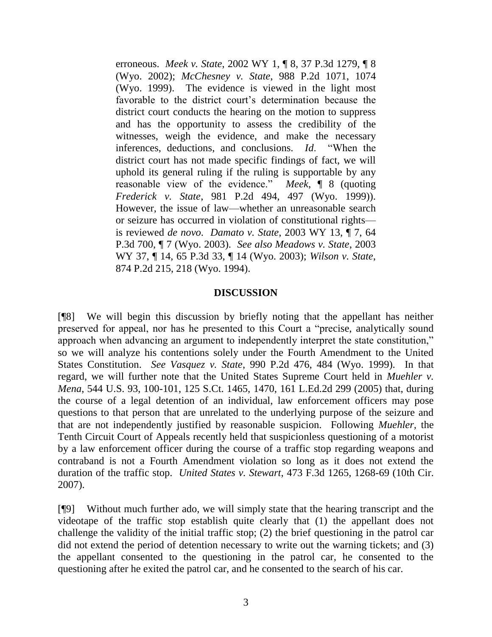erroneous. *Meek v. State*, 2002 WY 1, ¶ 8, 37 P.3d 1279, ¶ 8 (Wyo. 2002); *McChesney v. State*, 988 P.2d 1071, 1074 (Wyo. 1999). The evidence is viewed in the light most favorable to the district court's determination because the district court conducts the hearing on the motion to suppress and has the opportunity to assess the credibility of the witnesses, weigh the evidence, and make the necessary inferences, deductions, and conclusions. *Id*. "When the district court has not made specific findings of fact, we will uphold its general ruling if the ruling is supportable by any reasonable view of the evidence." *Meek*, ¶ 8 (quoting *Frederick v. State*, 981 P.2d 494, 497 (Wyo. 1999)). However, the issue of law—whether an unreasonable search or seizure has occurred in violation of constitutional rights is reviewed *de novo*. *Damato v. State*, 2003 WY 13, ¶ 7, 64 P.3d 700, ¶ 7 (Wyo. 2003). *See also Meadows v. State*, 2003 WY 37, ¶ 14, 65 P.3d 33, ¶ 14 (Wyo. 2003); *Wilson v. State*, 874 P.2d 215, 218 (Wyo. 1994).

#### **DISCUSSION**

[¶8] We will begin this discussion by briefly noting that the appellant has neither preserved for appeal, nor has he presented to this Court a "precise, analytically sound approach when advancing an argument to independently interpret the state constitution," so we will analyze his contentions solely under the Fourth Amendment to the United States Constitution. *See Vasquez v. State*, 990 P.2d 476, 484 (Wyo. 1999). In that regard, we will further note that the United States Supreme Court held in *Muehler v. Mena*, 544 U.S. 93, 100-101, 125 S.Ct. 1465, 1470, 161 L.Ed.2d 299 (2005) that, during the course of a legal detention of an individual, law enforcement officers may pose questions to that person that are unrelated to the underlying purpose of the seizure and that are not independently justified by reasonable suspicion. Following *Muehler,* the Tenth Circuit Court of Appeals recently held that suspicionless questioning of a motorist by a law enforcement officer during the course of a traffic stop regarding weapons and contraband is not a Fourth Amendment violation so long as it does not extend the duration of the traffic stop. *United States v. Stewart*, 473 F.3d 1265, 1268-69 (10th Cir. 2007).

[¶9] Without much further ado, we will simply state that the hearing transcript and the videotape of the traffic stop establish quite clearly that (1) the appellant does not challenge the validity of the initial traffic stop; (2) the brief questioning in the patrol car did not extend the period of detention necessary to write out the warning tickets; and (3) the appellant consented to the questioning in the patrol car, he consented to the questioning after he exited the patrol car, and he consented to the search of his car.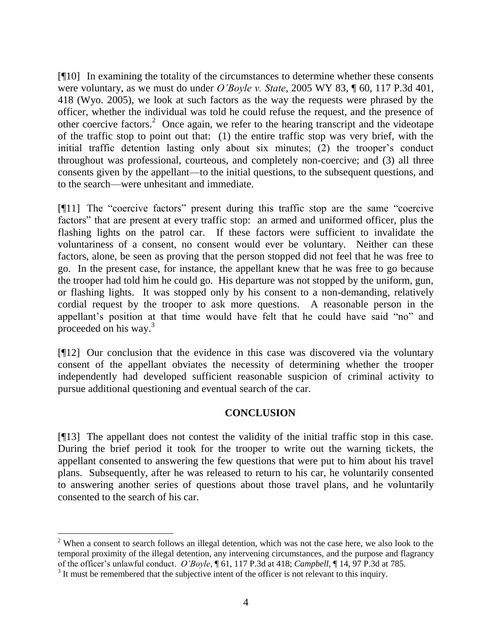[¶10] In examining the totality of the circumstances to determine whether these consents were voluntary, as we must do under *O'Boyle v. State*, 2005 WY 83, ¶ 60, 117 P.3d 401, 418 (Wyo. 2005), we look at such factors as the way the requests were phrased by the officer, whether the individual was told he could refuse the request, and the presence of other coercive factors.<sup>2</sup> Once again, we refer to the hearing transcript and the videotape of the traffic stop to point out that: (1) the entire traffic stop was very brief, with the initial traffic detention lasting only about six minutes; (2) the trooper's conduct throughout was professional, courteous, and completely non-coercive; and (3) all three consents given by the appellant—to the initial questions, to the subsequent questions, and to the search—were unhesitant and immediate.

[¶11] The "coercive factors" present during this traffic stop are the same "coercive factors" that are present at every traffic stop: an armed and uniformed officer, plus the flashing lights on the patrol car. If these factors were sufficient to invalidate the voluntariness of a consent, no consent would ever be voluntary. Neither can these factors, alone, be seen as proving that the person stopped did not feel that he was free to go. In the present case, for instance, the appellant knew that he was free to go because the trooper had told him he could go. His departure was not stopped by the uniform, gun, or flashing lights. It was stopped only by his consent to a non-demanding, relatively cordial request by the trooper to ask more questions. A reasonable person in the appellant's position at that time would have felt that he could have said "no" and proceeded on his way.<sup>3</sup>

[¶12] Our conclusion that the evidence in this case was discovered via the voluntary consent of the appellant obviates the necessity of determining whether the trooper independently had developed sufficient reasonable suspicion of criminal activity to pursue additional questioning and eventual search of the car.

# **CONCLUSION**

[¶13] The appellant does not contest the validity of the initial traffic stop in this case. During the brief period it took for the trooper to write out the warning tickets, the appellant consented to answering the few questions that were put to him about his travel plans. Subsequently, after he was released to return to his car, he voluntarily consented to answering another series of questions about those travel plans, and he voluntarily consented to the search of his car.

 $\overline{a}$ 

<sup>&</sup>lt;sup>2</sup> When a consent to search follows an illegal detention, which was not the case here, we also look to the temporal proximity of the illegal detention, any intervening circumstances, and the purpose and flagrancy of the officer's unlawful conduct. *O'Boyle*, ¶ 61, 117 P.3d at 418; *Campbell*, ¶ 14, 97 P.3d at 785.

 $3$  It must be remembered that the subjective intent of the officer is not relevant to this inquiry.